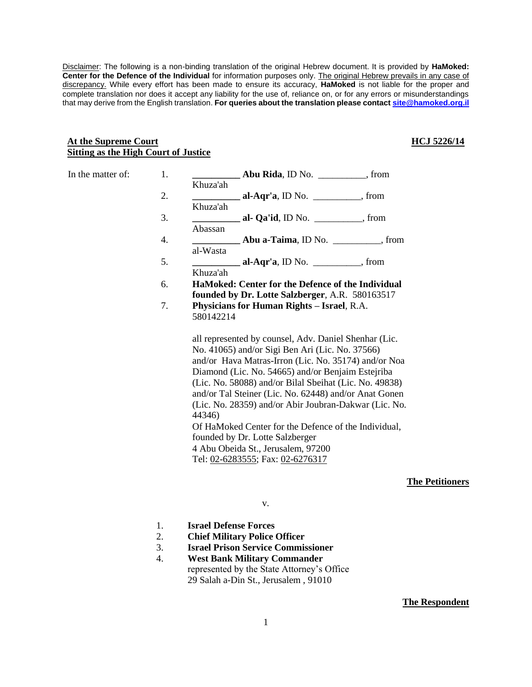Disclaimer: The following is a non-binding translation of the original Hebrew document. It is provided by **HaMoked: Center for the Defence of the Individual** for information purposes only. The original Hebrew prevails in any case of discrepancy. While every effort has been made to ensure its accuracy, **HaMoked** is not liable for the proper and complete translation nor does it accept any liability for the use of, reliance on, or for any errors or misunderstandings that may derive from the English translation. **For queries about the translation please contac[t site@hamoked.org.il](mailto:site@hamoked.org.il)**

#### **At the Supreme Court Sitting as the High Court of Justice**

## **HCJ 5226/14**

| In the matter of: | 1. | Abu Rida, ID No. ___________, from                                                                                                                                                                                                                                                                                                                                                                                                                                                                                                           |
|-------------------|----|----------------------------------------------------------------------------------------------------------------------------------------------------------------------------------------------------------------------------------------------------------------------------------------------------------------------------------------------------------------------------------------------------------------------------------------------------------------------------------------------------------------------------------------------|
|                   |    | Khuza'ah                                                                                                                                                                                                                                                                                                                                                                                                                                                                                                                                     |
|                   | 2. | al-Aqr'a, ID No. $\_\_\_\_\_\_\_\$ from                                                                                                                                                                                                                                                                                                                                                                                                                                                                                                      |
|                   |    | Khuza'ah                                                                                                                                                                                                                                                                                                                                                                                                                                                                                                                                     |
|                   | 3. | <b>al- Qa'id</b> , ID No. $\_\_\_\_\_\_\$ from                                                                                                                                                                                                                                                                                                                                                                                                                                                                                               |
|                   |    | Abassan                                                                                                                                                                                                                                                                                                                                                                                                                                                                                                                                      |
|                   | 4. | <b>Abu a-Taima</b> , ID No. <b><i>_________</i>, from</b>                                                                                                                                                                                                                                                                                                                                                                                                                                                                                    |
|                   |    | al-Wasta                                                                                                                                                                                                                                                                                                                                                                                                                                                                                                                                     |
|                   | 5. | al-Aqr'a, ID No. $\_\_\_\_\_\_\_\$ from                                                                                                                                                                                                                                                                                                                                                                                                                                                                                                      |
|                   |    | Khuza'ah                                                                                                                                                                                                                                                                                                                                                                                                                                                                                                                                     |
|                   | 6. | HaMoked: Center for the Defence of the Individual                                                                                                                                                                                                                                                                                                                                                                                                                                                                                            |
|                   |    | founded by Dr. Lotte Salzberger, A.R. 580163517                                                                                                                                                                                                                                                                                                                                                                                                                                                                                              |
|                   | 7. | Physicians for Human Rights - Israel, R.A.<br>580142214                                                                                                                                                                                                                                                                                                                                                                                                                                                                                      |
|                   |    | all represented by counsel, Adv. Daniel Shenhar (Lic.<br>No. 41065) and/or Sigi Ben Ari (Lic. No. 37566)<br>and/or Hava Matras-Irron (Lic. No. 35174) and/or Noa<br>Diamond (Lic. No. 54665) and/or Benjaim Estejriba<br>(Lic. No. 58088) and/or Bilal Sbeihat (Lic. No. 49838)<br>and/or Tal Steiner (Lic. No. 62448) and/or Anat Gonen<br>(Lic. No. 28359) and/or Abir Joubran-Dakwar (Lic. No.<br>44346)<br>Of HaMoked Center for the Defence of the Individual,<br>founded by Dr. Lotte Salzberger<br>4 Abu Obeida St., Jerusalem, 97200 |
|                   |    |                                                                                                                                                                                                                                                                                                                                                                                                                                                                                                                                              |
|                   |    | Tel: 02-6283555; Fax: 02-6276317                                                                                                                                                                                                                                                                                                                                                                                                                                                                                                             |

**The Petitioners**

v.

- 1. **Israel Defense Forces**
- 2. **Chief Military Police Officer**
- 3. **Israel Prison Service Commissioner**
- 4. **West Bank Military Commander** represented by the State Attorney's Office 29 Salah a-Din St., Jerusalem , 91010

**The Respondent**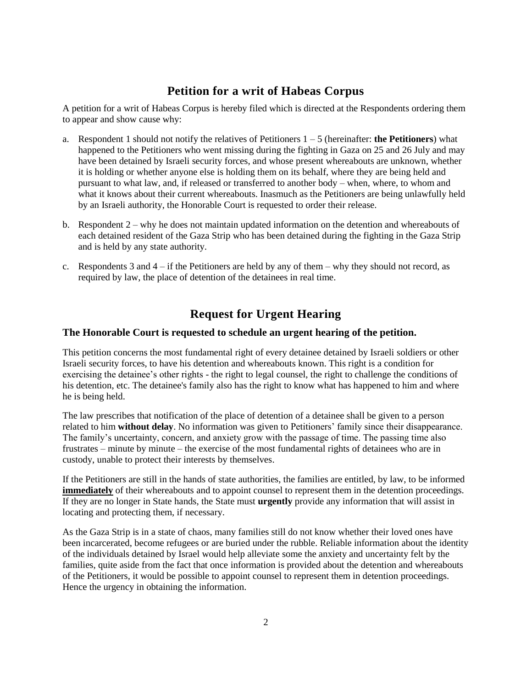# **Petition for a writ of Habeas Corpus**

A petition for a writ of Habeas Corpus is hereby filed which is directed at the Respondents ordering them to appear and show cause why:

- a. Respondent 1 should not notify the relatives of Petitioners  $1 5$  (hereinafter: **the Petitioners**) what happened to the Petitioners who went missing during the fighting in Gaza on 25 and 26 July and may have been detained by Israeli security forces, and whose present whereabouts are unknown, whether it is holding or whether anyone else is holding them on its behalf, where they are being held and pursuant to what law, and, if released or transferred to another body – when, where, to whom and what it knows about their current whereabouts. Inasmuch as the Petitioners are being unlawfully held by an Israeli authority, the Honorable Court is requested to order their release.
- b. Respondent 2 why he does not maintain updated information on the detention and whereabouts of each detained resident of the Gaza Strip who has been detained during the fighting in the Gaza Strip and is held by any state authority.
- c. Respondents 3 and  $4 if$  the Petitioners are held by any of them why they should not record, as required by law, the place of detention of the detainees in real time.

# **Request for Urgent Hearing**

## **The Honorable Court is requested to schedule an urgent hearing of the petition.**

This petition concerns the most fundamental right of every detainee detained by Israeli soldiers or other Israeli security forces, to have his detention and whereabouts known. This right is a condition for exercising the detainee's other rights - the right to legal counsel, the right to challenge the conditions of his detention, etc. The detainee's family also has the right to know what has happened to him and where he is being held.

The law prescribes that notification of the place of detention of a detainee shall be given to a person related to him **without delay**. No information was given to Petitioners' family since their disappearance. The family's uncertainty, concern, and anxiety grow with the passage of time. The passing time also frustrates – minute by minute – the exercise of the most fundamental rights of detainees who are in custody, unable to protect their interests by themselves.

If the Petitioners are still in the hands of state authorities, the families are entitled, by law, to be informed **immediately** of their whereabouts and to appoint counsel to represent them in the detention proceedings. If they are no longer in State hands, the State must **urgently** provide any information that will assist in locating and protecting them, if necessary.

As the Gaza Strip is in a state of chaos, many families still do not know whether their loved ones have been incarcerated, become refugees or are buried under the rubble. Reliable information about the identity of the individuals detained by Israel would help alleviate some the anxiety and uncertainty felt by the families, quite aside from the fact that once information is provided about the detention and whereabouts of the Petitioners, it would be possible to appoint counsel to represent them in detention proceedings. Hence the urgency in obtaining the information.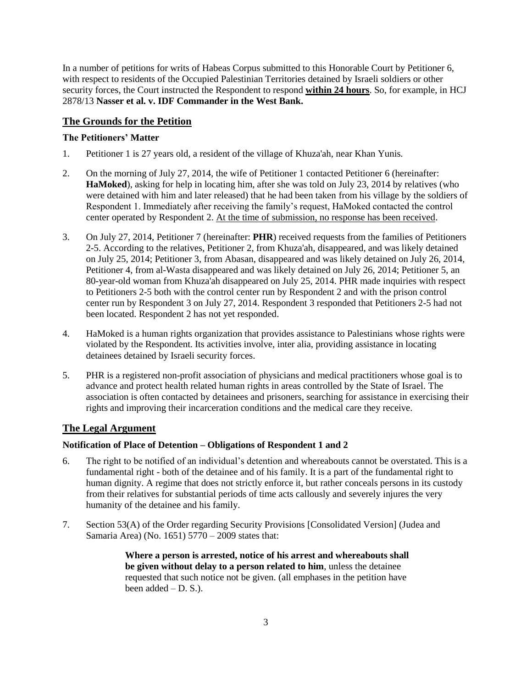In a number of petitions for writs of Habeas Corpus submitted to this Honorable Court by Petitioner 6, with respect to residents of the Occupied Palestinian Territories detained by Israeli soldiers or other security forces, the Court instructed the Respondent to respond **within 24 hours**. So, for example, in HCJ 2878/13 **Nasser et al. v. IDF Commander in the West Bank.**

# **The Grounds for the Petition**

# **The Petitioners' Matter**

- 1. Petitioner 1 is 27 years old, a resident of the village of Khuza'ah, near Khan Yunis.
- 2. On the morning of July 27, 2014, the wife of Petitioner 1 contacted Petitioner 6 (hereinafter: **HaMoked**), asking for help in locating him, after she was told on July 23, 2014 by relatives (who were detained with him and later released) that he had been taken from his village by the soldiers of Respondent 1. Immediately after receiving the family's request, HaMoked contacted the control center operated by Respondent 2. At the time of submission, no response has been received.
- 3. On July 27, 2014, Petitioner 7 (hereinafter: **PHR**) received requests from the families of Petitioners 2-5. According to the relatives, Petitioner 2, from Khuza'ah, disappeared, and was likely detained on July 25, 2014; Petitioner 3, from Abasan, disappeared and was likely detained on July 26, 2014, Petitioner 4, from al-Wasta disappeared and was likely detained on July 26, 2014; Petitioner 5, an 80-year-old woman from Khuza'ah disappeared on July 25, 2014. PHR made inquiries with respect to Petitioners 2-5 both with the control center run by Respondent 2 and with the prison control center run by Respondent 3 on July 27, 2014. Respondent 3 responded that Petitioners 2-5 had not been located. Respondent 2 has not yet responded.
- 4. HaMoked is a human rights organization that provides assistance to Palestinians whose rights were violated by the Respondent. Its activities involve, inter alia, providing assistance in locating detainees detained by Israeli security forces.
- 5. PHR is a registered non-profit association of physicians and medical practitioners whose goal is to advance and protect health related human rights in areas controlled by the State of Israel. The association is often contacted by detainees and prisoners, searching for assistance in exercising their rights and improving their incarceration conditions and the medical care they receive.

# **The Legal Argument**

## **Notification of Place of Detention – Obligations of Respondent 1 and 2**

- 6. The right to be notified of an individual's detention and whereabouts cannot be overstated. This is a fundamental right - both of the detainee and of his family. It is a part of the fundamental right to human dignity. A regime that does not strictly enforce it, but rather conceals persons in its custody from their relatives for substantial periods of time acts callously and severely injures the very humanity of the detainee and his family.
- 7. Section 53(A) of the Order regarding Security Provisions [Consolidated Version] (Judea and Samaria Area) (No. 1651) 5770 – 2009 states that:

**Where a person is arrested, notice of his arrest and whereabouts shall be given without delay to a person related to him**, unless the detainee requested that such notice not be given. (all emphases in the petition have been added  $-$  D. S.).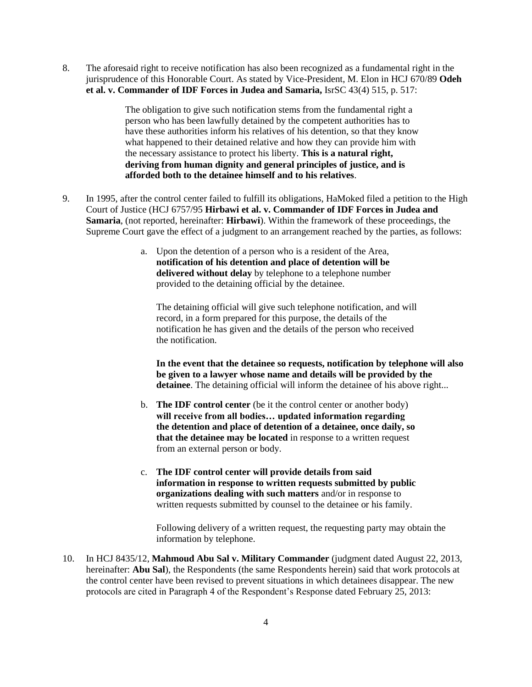8. The aforesaid right to receive notification has also been recognized as a fundamental right in the jurisprudence of this Honorable Court. As stated by Vice-President, M. Elon in HCJ 670/89 **Odeh et al. v. Commander of IDF Forces in Judea and Samaria,** IsrSC 43(4) 515, p. 517:

> The obligation to give such notification stems from the fundamental right a person who has been lawfully detained by the competent authorities has to have these authorities inform his relatives of his detention, so that they know what happened to their detained relative and how they can provide him with the necessary assistance to protect his liberty. **This is a natural right, deriving from human dignity and general principles of justice, and is afforded both to the detainee himself and to his relatives**.

- 9. In 1995, after the control center failed to fulfill its obligations, HaMoked filed a petition to the High Court of Justice (HCJ 6757/95 **Hirbawi et al. v. Commander of IDF Forces in Judea and Samaria**, (not reported, hereinafter: **Hirbawi**). Within the framework of these proceedings, the Supreme Court gave the effect of a judgment to an arrangement reached by the parties, as follows:
	- a. Upon the detention of a person who is a resident of the Area, **notification of his detention and place of detention will be delivered without delay** by telephone to a telephone number provided to the detaining official by the detainee.

The detaining official will give such telephone notification, and will record, in a form prepared for this purpose, the details of the notification he has given and the details of the person who received the notification.

**In the event that the detainee so requests, notification by telephone will also be given to a lawyer whose name and details will be provided by the detainee**. The detaining official will inform the detainee of his above right...

- b. **The IDF control center** (be it the control center or another body) **will receive from all bodies… updated information regarding the detention and place of detention of a detainee, once daily, so that the detainee may be located** in response to a written request from an external person or body.
- c. **The IDF control center will provide details from said information in response to written requests submitted by public organizations dealing with such matters** and/or in response to written requests submitted by counsel to the detainee or his family.

Following delivery of a written request, the requesting party may obtain the information by telephone.

10. In HCJ 8435/12, **Mahmoud Abu Sal v. Military Commander** (judgment dated August 22, 2013, hereinafter: **Abu Sal**), the Respondents (the same Respondents herein) said that work protocols at the control center have been revised to prevent situations in which detainees disappear. The new protocols are cited in Paragraph 4 of the Respondent's Response dated February 25, 2013: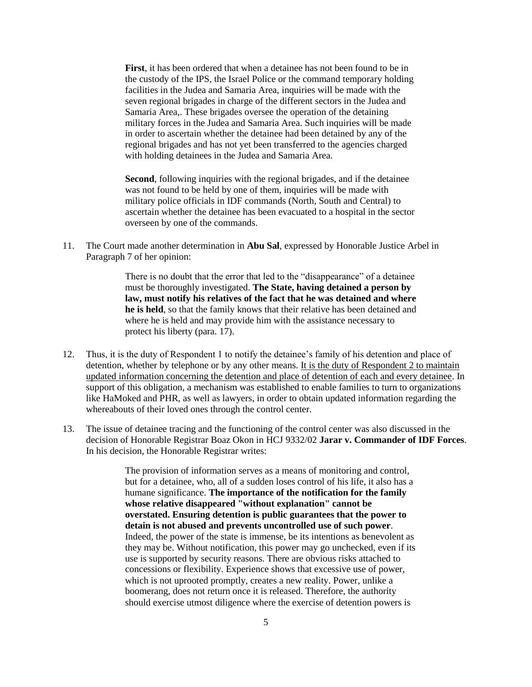**First**, it has been ordered that when a detainee has not been found to be in the custody of the IPS, the Israel Police or the command temporary holding facilities in the Judea and Samaria Area, inquiries will be made with the seven regional brigades in charge of the different sectors in the Judea and Samaria Area,. These brigades oversee the operation of the detaining military forces in the Judea and Samaria Area. Such inquiries will be made in order to ascertain whether the detainee had been detained by any of the regional brigades and has not yet been transferred to the agencies charged with holding detainees in the Judea and Samaria Area.

**Second**, following inquiries with the regional brigades, and if the detainee was not found to be held by one of them, inquiries will be made with military police officials in IDF commands (North, South and Central) to ascertain whether the detainee has been evacuated to a hospital in the sector overseen by one of the commands.

11. The Court made another determination in **Abu Sal**, expressed by Honorable Justice Arbel in Paragraph 7 of her opinion:

> There is no doubt that the error that led to the "disappearance" of a detainee must be thoroughly investigated. **The State, having detained a person by law, must notify his relatives of the fact that he was detained and where he is held**, so that the family knows that their relative has been detained and where he is held and may provide him with the assistance necessary to protect his liberty (para. 17).

- 12. Thus, it is the duty of Respondent 1 to notify the detainee's family of his detention and place of detention, whether by telephone or by any other means. It is the duty of Respondent 2 to maintain updated information concerning the detention and place of detention of each and every detainee. In support of this obligation, a mechanism was established to enable families to turn to organizations like HaMoked and PHR, as well as lawyers, in order to obtain updated information regarding the whereabouts of their loved ones through the control center.
- 13. The issue of detainee tracing and the functioning of the control center was also discussed in the decision of Honorable Registrar Boaz Okon in HCJ 9332/02 **Jarar v. Commander of IDF Forces**. In his decision, the Honorable Registrar writes:

The provision of information serves as a means of monitoring and control, but for a detainee, who, all of a sudden loses control of his life, it also has a humane significance. **The importance of the notification for the family whose relative disappeared "without explanation" cannot be overstated. Ensuring detention is public guarantees that the power to detain is not abused and prevents uncontrolled use of such power**. Indeed, the power of the state is immense, be its intentions as benevolent as they may be. Without notification, this power may go unchecked, even if its use is supported by security reasons. There are obvious risks attached to concessions or flexibility. Experience shows that excessive use of power, which is not uprooted promptly, creates a new reality. Power, unlike a boomerang, does not return once it is released. Therefore, the authority should exercise utmost diligence where the exercise of detention powers is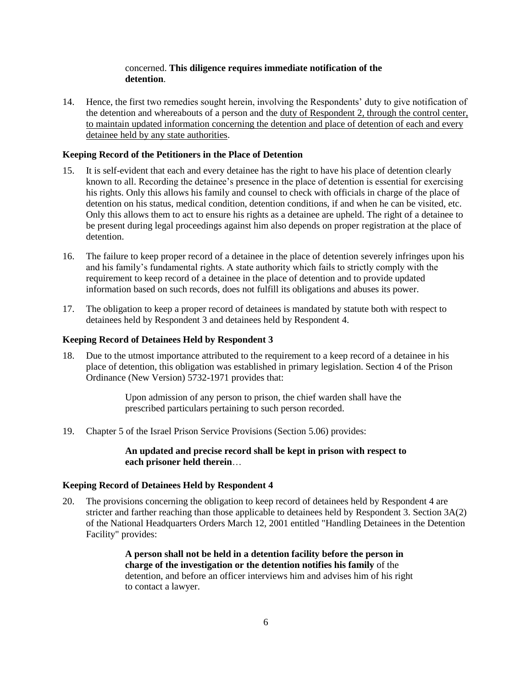## concerned. **This diligence requires immediate notification of the detention**.

14. Hence, the first two remedies sought herein, involving the Respondents' duty to give notification of the detention and whereabouts of a person and the duty of Respondent 2, through the control center, to maintain updated information concerning the detention and place of detention of each and every detainee held by any state authorities.

### **Keeping Record of the Petitioners in the Place of Detention**

- 15. It is self-evident that each and every detainee has the right to have his place of detention clearly known to all. Recording the detainee's presence in the place of detention is essential for exercising his rights. Only this allows his family and counsel to check with officials in charge of the place of detention on his status, medical condition, detention conditions, if and when he can be visited, etc. Only this allows them to act to ensure his rights as a detainee are upheld. The right of a detainee to be present during legal proceedings against him also depends on proper registration at the place of detention.
- 16. The failure to keep proper record of a detainee in the place of detention severely infringes upon his and his family's fundamental rights. A state authority which fails to strictly comply with the requirement to keep record of a detainee in the place of detention and to provide updated information based on such records, does not fulfill its obligations and abuses its power.
- 17. The obligation to keep a proper record of detainees is mandated by statute both with respect to detainees held by Respondent 3 and detainees held by Respondent 4.

#### **Keeping Record of Detainees Held by Respondent 3**

18. Due to the utmost importance attributed to the requirement to a keep record of a detainee in his place of detention, this obligation was established in primary legislation. Section 4 of the Prison Ordinance (New Version) 5732-1971 provides that:

> Upon admission of any person to prison, the chief warden shall have the prescribed particulars pertaining to such person recorded.

19. Chapter 5 of the Israel Prison Service Provisions (Section 5.06) provides:

### **An updated and precise record shall be kept in prison with respect to each prisoner held therein**…

#### **Keeping Record of Detainees Held by Respondent 4**

20. The provisions concerning the obligation to keep record of detainees held by Respondent 4 are stricter and farther reaching than those applicable to detainees held by Respondent 3. Section 3A(2) of the National Headquarters Orders March 12, 2001 entitled "Handling Detainees in the Detention Facility" provides:

> **A person shall not be held in a detention facility before the person in charge of the investigation or the detention notifies his family** of the detention, and before an officer interviews him and advises him of his right to contact a lawyer.